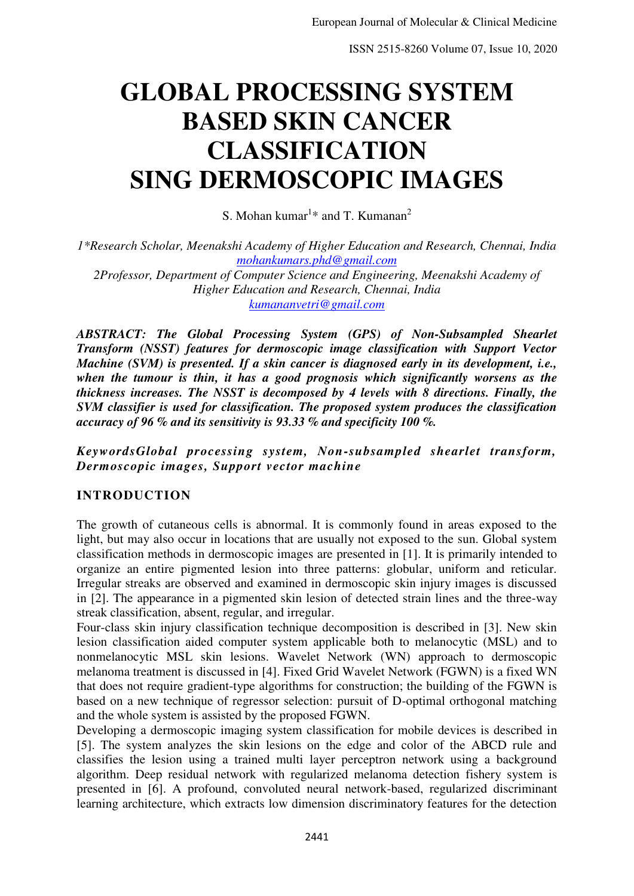# **GLOBAL PROCESSING SYSTEM BASED SKIN CANCER CLASSIFICATION SING DERMOSCOPIC IMAGES**

S. Mohan kumar<sup>1\*</sup> and T. Kumanan<sup>2</sup>

*1\*Research Scholar, Meenakshi Academy of Higher Education and Research, Chennai, India [mohankumars.phd@gmail.com](mailto:mohankumars.phd@gmail.com)*

*2Professor, Department of Computer Science and Engineering, Meenakshi Academy of Higher Education and Research, Chennai, India [kumananvetri@gmail.com](mailto:kumananvetri@gmail.com)*

*ABSTRACT: The Global Processing System (GPS) of Non-Subsampled Shearlet Transform (NSST) features for dermoscopic image classification with Support Vector Machine (SVM) is presented. If a skin cancer is diagnosed early in its development, i.e., when the tumour is thin, it has a good prognosis which significantly worsens as the thickness increases. The NSST is decomposed by 4 levels with 8 directions. Finally, the SVM classifier is used for classification. The proposed system produces the classification accuracy of 96 % and its sensitivity is 93.33 % and specificity 100 %.* 

# *KeywordsGlobal processing system, Non-subsampled shearlet transform, Dermoscopic images, Support vector machine*

# **INTRODUCTION**

The growth of cutaneous cells is abnormal. It is commonly found in areas exposed to the light, but may also occur in locations that are usually not exposed to the sun. Global system classification methods in dermoscopic images are presented in [1]. It is primarily intended to organize an entire pigmented lesion into three patterns: globular, uniform and reticular. Irregular streaks are observed and examined in dermoscopic skin injury images is discussed in [2]. The appearance in a pigmented skin lesion of detected strain lines and the three-way streak classification, absent, regular, and irregular.

Four-class skin injury classification technique decomposition is described in [3]. New skin lesion classification aided computer system applicable both to melanocytic (MSL) and to nonmelanocytic MSL skin lesions. Wavelet Network (WN) approach to dermoscopic melanoma treatment is discussed in [4]. Fixed Grid Wavelet Network (FGWN) is a fixed WN that does not require gradient-type algorithms for construction; the building of the FGWN is based on a new technique of regressor selection: pursuit of D-optimal orthogonal matching and the whole system is assisted by the proposed FGWN.

Developing a dermoscopic imaging system classification for mobile devices is described in [5]. The system analyzes the skin lesions on the edge and color of the ABCD rule and classifies the lesion using a trained multi layer perceptron network using a background algorithm. Deep residual network with regularized melanoma detection fishery system is presented in [6]. A profound, convoluted neural network-based, regularized discriminant learning architecture, which extracts low dimension discriminatory features for the detection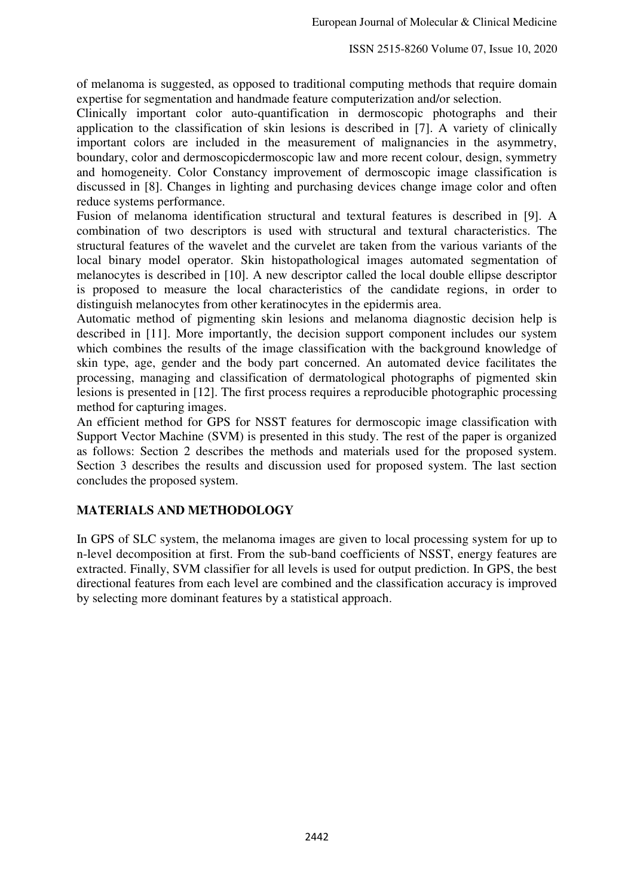of melanoma is suggested, as opposed to traditional computing methods that require domain expertise for segmentation and handmade feature computerization and/or selection.

Clinically important color auto-quantification in dermoscopic photographs and their application to the classification of skin lesions is described in [7]. A variety of clinically important colors are included in the measurement of malignancies in the asymmetry, boundary, color and dermoscopicdermoscopic law and more recent colour, design, symmetry and homogeneity. Color Constancy improvement of dermoscopic image classification is discussed in [8]. Changes in lighting and purchasing devices change image color and often reduce systems performance.

Fusion of melanoma identification structural and textural features is described in [9]. A combination of two descriptors is used with structural and textural characteristics. The structural features of the wavelet and the curvelet are taken from the various variants of the local binary model operator. Skin histopathological images automated segmentation of melanocytes is described in [10]. A new descriptor called the local double ellipse descriptor is proposed to measure the local characteristics of the candidate regions, in order to distinguish melanocytes from other keratinocytes in the epidermis area.

Automatic method of pigmenting skin lesions and melanoma diagnostic decision help is described in [11]. More importantly, the decision support component includes our system which combines the results of the image classification with the background knowledge of skin type, age, gender and the body part concerned. An automated device facilitates the processing, managing and classification of dermatological photographs of pigmented skin lesions is presented in [12]. The first process requires a reproducible photographic processing method for capturing images.

An efficient method for GPS for NSST features for dermoscopic image classification with Support Vector Machine (SVM) is presented in this study. The rest of the paper is organized as follows: Section 2 describes the methods and materials used for the proposed system. Section 3 describes the results and discussion used for proposed system. The last section concludes the proposed system.

# **MATERIALS AND METHODOLOGY**

In GPS of SLC system, the melanoma images are given to local processing system for up to n-level decomposition at first. From the sub-band coefficients of NSST, energy features are extracted. Finally, SVM classifier for all levels is used for output prediction. In GPS, the best directional features from each level are combined and the classification accuracy is improved by selecting more dominant features by a statistical approach.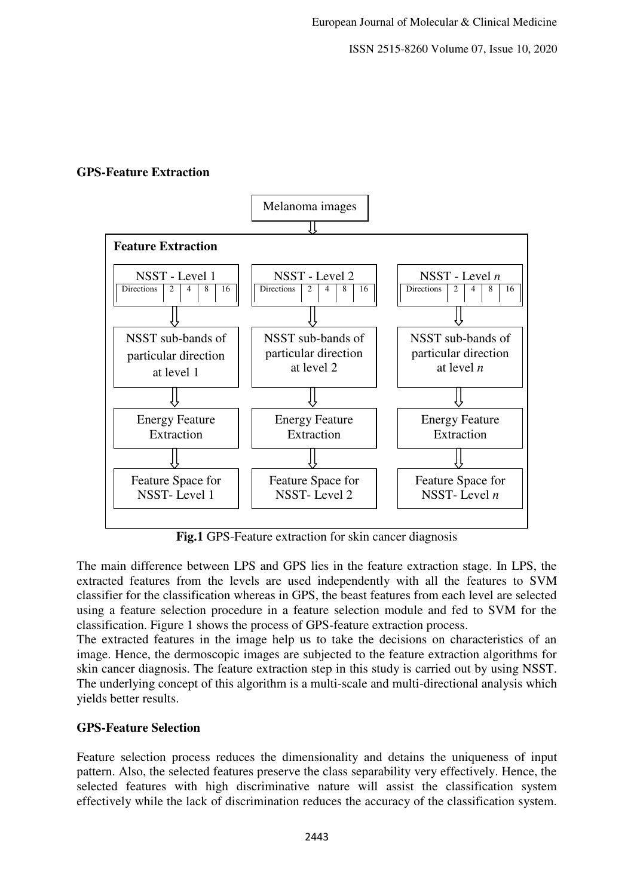ISSN 2515-8260 Volume 07, Issue 10, 2020

#### **GPS-Feature Extraction**



**Fig.1** GPS-Feature extraction for skin cancer diagnosis

The main difference between LPS and GPS lies in the feature extraction stage. In LPS, the extracted features from the levels are used independently with all the features to SVM classifier for the classification whereas in GPS, the beast features from each level are selected using a feature selection procedure in a feature selection module and fed to SVM for the classification. Figure 1 shows the process of GPS-feature extraction process.

The extracted features in the image help us to take the decisions on characteristics of an image. Hence, the dermoscopic images are subjected to the feature extraction algorithms for skin cancer diagnosis. The feature extraction step in this study is carried out by using NSST. The underlying concept of this algorithm is a multi-scale and multi-directional analysis which yields better results.

# **GPS-Feature Selection**

Feature selection process reduces the dimensionality and detains the uniqueness of input pattern. Also, the selected features preserve the class separability very effectively. Hence, the selected features with high discriminative nature will assist the classification system effectively while the lack of discrimination reduces the accuracy of the classification system.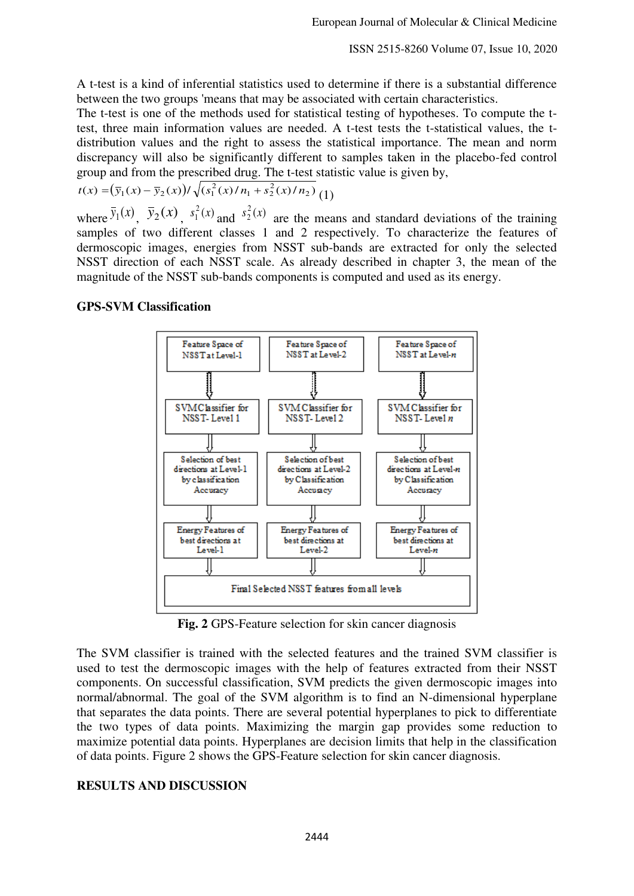A t-test is a kind of inferential statistics used to determine if there is a substantial difference between the two groups 'means that may be associated with certain characteristics.

The t-test is one of the methods used for statistical testing of hypotheses. To compute the ttest, three main information values are needed. A t-test tests the t-statistical values, the tdistribution values and the right to assess the statistical importance. The mean and norm discrepancy will also be significantly different to samples taken in the placebo-fed control group and from the prescribed drug. The t-test statistic value is given by,

$$
t(x) = (\bar{y}_1(x) - \bar{y}_2(x))/\sqrt{(s_1^2(x)/n_1 + s_2^2(x)/n_2)}
$$
 (1)

where  $\overline{y}_1(x)$ ,  $\overline{y}_2(x)$ ,  $s_1^2(x)$  $s_1^2(x)$  and  $s_2^2(x)$  $s_2^2(x)$  are the means and standard deviations of the training samples of two different classes 1 and 2 respectively. To characterize the features of dermoscopic images, energies from NSST sub-bands are extracted for only the selected NSST direction of each NSST scale. As already described in chapter 3, the mean of the magnitude of the NSST sub-bands components is computed and used as its energy.

# **GPS-SVM Classification**



**Fig. 2** GPS-Feature selection for skin cancer diagnosis

The SVM classifier is trained with the selected features and the trained SVM classifier is used to test the dermoscopic images with the help of features extracted from their NSST components. On successful classification, SVM predicts the given dermoscopic images into normal/abnormal. The goal of the SVM algorithm is to find an N-dimensional hyperplane that separates the data points. There are several potential hyperplanes to pick to differentiate the two types of data points. Maximizing the margin gap provides some reduction to maximize potential data points. Hyperplanes are decision limits that help in the classification of data points. Figure 2 shows the GPS-Feature selection for skin cancer diagnosis.

#### **RESULTS AND DISCUSSION**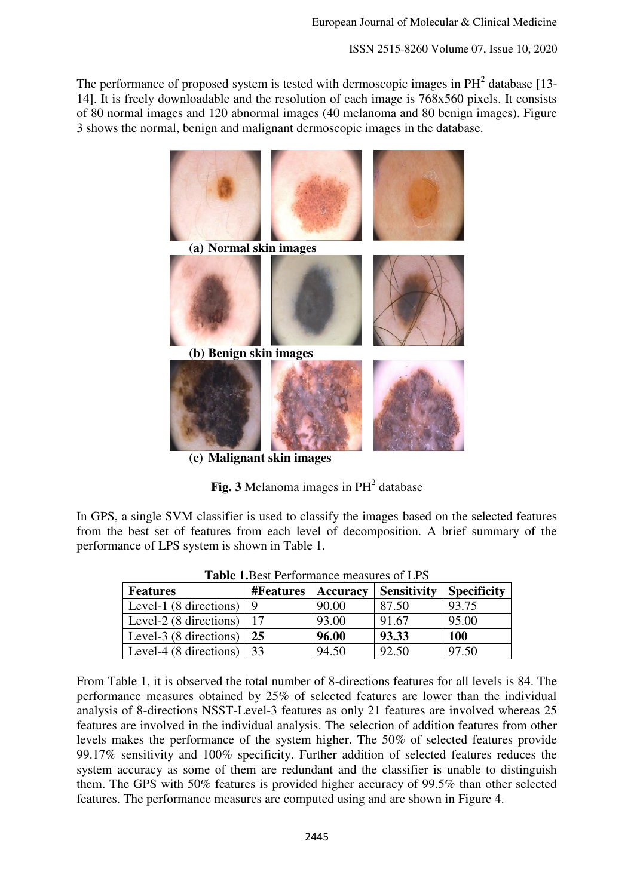ISSN 2515-8260 Volume 07, Issue 10, 2020

The performance of proposed system is tested with dermoscopic images in  $PH<sup>2</sup>$  database [13-14]. It is freely downloadable and the resolution of each image is 768x560 pixels. It consists of 80 normal images and 120 abnormal images (40 melanoma and 80 benign images). Figure 3 shows the normal, benign and malignant dermoscopic images in the database.



**Fig. 3** Melanoma images in  $PH<sup>2</sup>$  database

In GPS, a single SVM classifier is used to classify the images based on the selected features from the best set of features from each level of decomposition. A brief summary of the performance of LPS system is shown in Table 1.

| Tuon Tibest Chommule measure of Br D |                  |          |                    |                    |
|--------------------------------------|------------------|----------|--------------------|--------------------|
| <b>Features</b>                      | <b>#Features</b> | Accuracy | <b>Sensitivity</b> | <b>Specificity</b> |
| Level-1 (8 directions)               |                  | 90.00    | 87.50              | 93.75              |
| Level-2 (8 directions)               |                  | 93.00    | 91.67              | 95.00              |
| Level-3 (8 directions)               | 25               | 96.00    | 93.33              | 100                |
| Level-4 (8 directions)               | 33               | 94.50    | 92.50              | 97.50              |

**Table 1.**Best Performance measures of LPS

From Table 1, it is observed the total number of 8-directions features for all levels is 84. The performance measures obtained by 25% of selected features are lower than the individual analysis of 8-directions NSST-Level-3 features as only 21 features are involved whereas 25 features are involved in the individual analysis. The selection of addition features from other levels makes the performance of the system higher. The 50% of selected features provide 99.17% sensitivity and 100% specificity. Further addition of selected features reduces the system accuracy as some of them are redundant and the classifier is unable to distinguish them. The GPS with 50% features is provided higher accuracy of 99.5% than other selected features. The performance measures are computed using and are shown in Figure 4.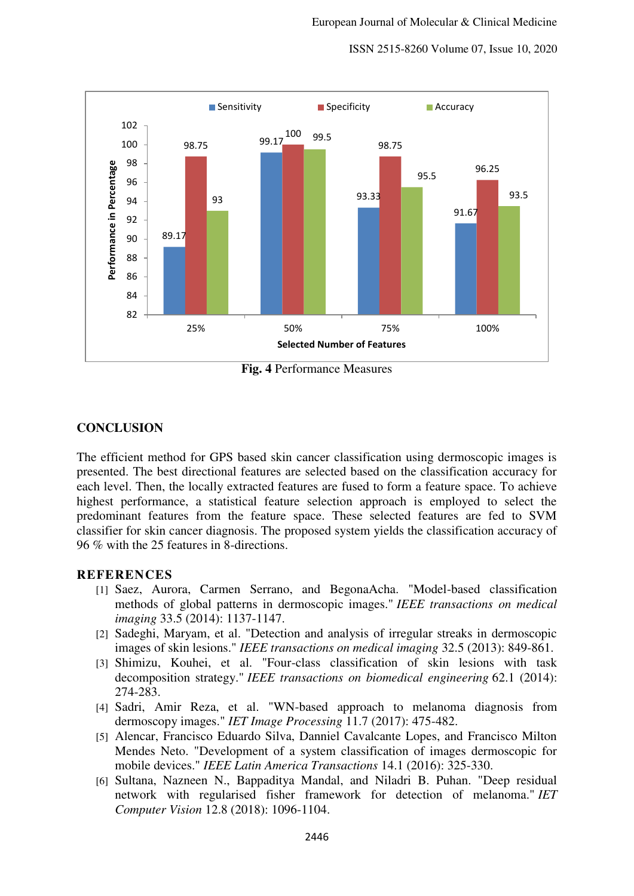ISSN 2515-8260 Volume 07, Issue 10, 2020



**Fig. 4** Performance Measures

#### **CONCLUSION**

The efficient method for GPS based skin cancer classification using dermoscopic images is presented. The best directional features are selected based on the classification accuracy for each level. Then, the locally extracted features are fused to form a feature space. To achieve highest performance, a statistical feature selection approach is employed to select the predominant features from the feature space. These selected features are fed to SVM classifier for skin cancer diagnosis. The proposed system yields the classification accuracy of 96 % with the 25 features in 8-directions.

#### **REFERENCES**

- [1] Saez, Aurora, Carmen Serrano, and BegonaAcha. "Model-based classification methods of global patterns in dermoscopic images." *IEEE transactions on medical imaging* 33.5 (2014): 1137-1147.
- [2] Sadeghi, Maryam, et al. "Detection and analysis of irregular streaks in dermoscopic images of skin lesions." *IEEE transactions on medical imaging* 32.5 (2013): 849-861.
- [3] Shimizu, Kouhei, et al. "Four-class classification of skin lesions with task decomposition strategy." *IEEE transactions on biomedical engineering* 62.1 (2014): 274-283.
- [4] Sadri, Amir Reza, et al. "WN-based approach to melanoma diagnosis from dermoscopy images." *IET Image Processing* 11.7 (2017): 475-482.
- [5] Alencar, Francisco Eduardo Silva, Danniel Cavalcante Lopes, and Francisco Milton Mendes Neto. "Development of a system classification of images dermoscopic for mobile devices." *IEEE Latin America Transactions* 14.1 (2016): 325-330.
- [6] Sultana, Nazneen N., Bappaditya Mandal, and Niladri B. Puhan. "Deep residual network with regularised fisher framework for detection of melanoma." *IET Computer Vision* 12.8 (2018): 1096-1104.